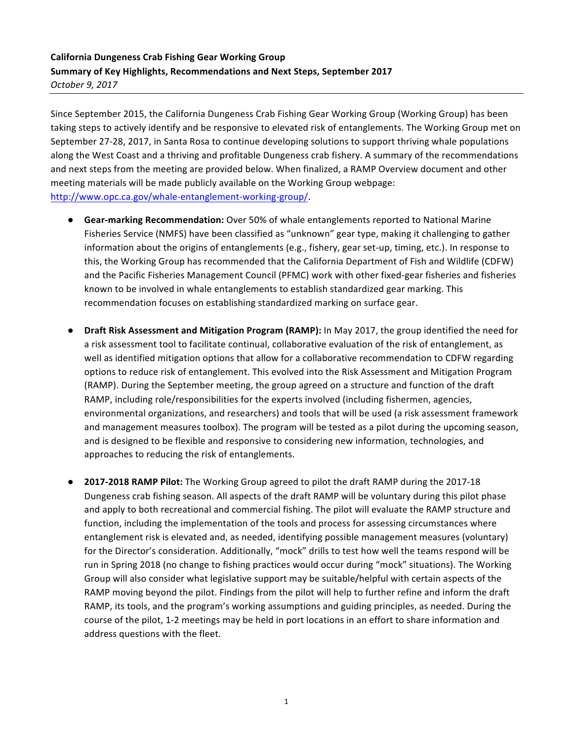## **California Dungeness Crab Fishing Gear Working Group Summary of Key Highlights, Recommendations and Next Steps, September 2017** *October 9, 2017*

Since September 2015, the California Dungeness Crab Fishing Gear Working Group (Working Group) has been taking steps to actively identify and be responsive to elevated risk of entanglements. The Working Group met on September 27-28, 2017, in Santa Rosa to continue developing solutions to support thriving whale populations along the West Coast and a thriving and profitable Dungeness crab fishery. A summary of the recommendations and next steps from the meeting are provided below. When finalized, a RAMP Overview document and other meeting materials will be made publicly available on the Working Group webpage: http://www.opc.ca.gov/whale-entanglement-working-group/. 

- **Gear-marking Recommendation:** Over 50% of whale entanglements reported to National Marine Fisheries Service (NMFS) have been classified as "unknown" gear type, making it challenging to gather information about the origins of entanglements (e.g., fishery, gear set-up, timing, etc.). In response to this, the Working Group has recommended that the California Department of Fish and Wildlife (CDFW) and the Pacific Fisheries Management Council (PFMC) work with other fixed-gear fisheries and fisheries known to be involved in whale entanglements to establish standardized gear marking. This recommendation focuses on establishing standardized marking on surface gear.
- **Draft Risk Assessment and Mitigation Program (RAMP):** In May 2017, the group identified the need for a risk assessment tool to facilitate continual, collaborative evaluation of the risk of entanglement, as well as identified mitigation options that allow for a collaborative recommendation to CDFW regarding options to reduce risk of entanglement. This evolved into the Risk Assessment and Mitigation Program (RAMP). During the September meeting, the group agreed on a structure and function of the draft RAMP, including role/responsibilities for the experts involved (including fishermen, agencies, environmental organizations, and researchers) and tools that will be used (a risk assessment framework and management measures toolbox). The program will be tested as a pilot during the upcoming season, and is designed to be flexible and responsive to considering new information, technologies, and approaches to reducing the risk of entanglements.
- **2017-2018 RAMP Pilot:** The Working Group agreed to pilot the draft RAMP during the 2017-18 Dungeness crab fishing season. All aspects of the draft RAMP will be voluntary during this pilot phase and apply to both recreational and commercial fishing. The pilot will evaluate the RAMP structure and function, including the implementation of the tools and process for assessing circumstances where entanglement risk is elevated and, as needed, identifying possible management measures (voluntary) for the Director's consideration. Additionally, "mock" drills to test how well the teams respond will be run in Spring 2018 (no change to fishing practices would occur during "mock" situations). The Working Group will also consider what legislative support may be suitable/helpful with certain aspects of the RAMP moving beyond the pilot. Findings from the pilot will help to further refine and inform the draft RAMP, its tools, and the program's working assumptions and guiding principles, as needed. During the course of the pilot, 1-2 meetings may be held in port locations in an effort to share information and address questions with the fleet.